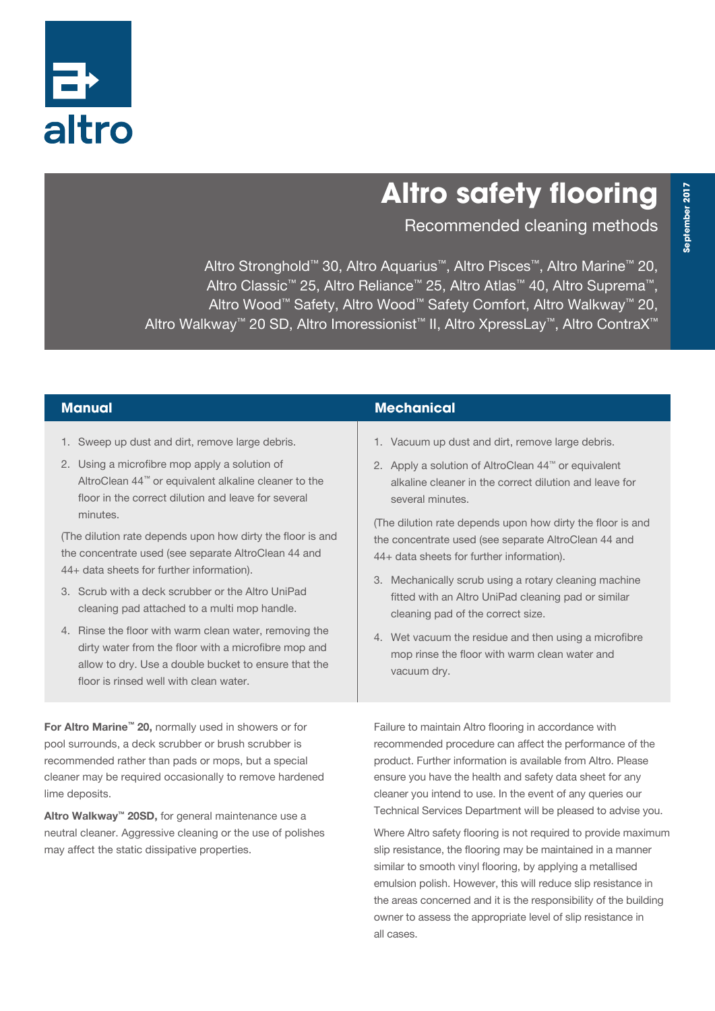

# **Altro safety flooring**

Recommended cleaning methods

Altro Stronghold™ 30, Altro Aquarius™, Altro Pisces™, Altro Marine™ 20, Altro Classic™ 25, Altro Reliance™ 25, Altro Atlas™ 40, Altro Suprema™, Altro Wood™ Safety, Altro Wood™ Safety Comfort, Altro Walkway™ 20, Altro Walkway™ 20 SD, Altro Imoressionist™ II, Altro XpressLay™, Altro ContraX™

- 1. Sweep up dust and dirt, remove large debris.
- 2. Using a microfibre mop apply a solution of AltroClean 44™ or equivalent alkaline cleaner to the floor in the correct dilution and leave for several minutes.

(The dilution rate depends upon how dirty the floor is and the concentrate used (see separate AltroClean 44 and 44+ data sheets for further information).

- 3. Scrub with a deck scrubber or the Altro UniPad cleaning pad attached to a multi mop handle.
- 4. Rinse the floor with warm clean water, removing the dirty water from the floor with a microfibre mop and allow to dry. Use a double bucket to ensure that the floor is rinsed well with clean water.

For Altro Marine™ 20, normally used in showers or for pool surrounds, a deck scrubber or brush scrubber is recommended rather than pads or mops, but a special cleaner may be required occasionally to remove hardened lime deposits.

Altro Walkway™ 20SD, for general maintenance use a neutral cleaner. Aggressive cleaning or the use of polishes may affect the static dissipative properties.

#### **Manual Mechanical**

- 1. Vacuum up dust and dirt, remove large debris.
- 2. Apply a solution of AltroClean 44™ or equivalent alkaline cleaner in the correct dilution and leave for several minutes.

(The dilution rate depends upon how dirty the floor is and the concentrate used (see separate AltroClean 44 and 44+ data sheets for further information).

- 3. Mechanically scrub using a rotary cleaning machine fitted with an Altro UniPad cleaning pad or similar cleaning pad of the correct size.
- 4. Wet vacuum the residue and then using a microfibre mop rinse the floor with warm clean water and vacuum dry.

Failure to maintain Altro flooring in accordance with recommended procedure can affect the performance of the product. Further information is available from Altro. Please ensure you have the health and safety data sheet for any cleaner you intend to use. In the event of any queries our Technical Services Department will be pleased to advise you.

Where Altro safety flooring is not required to provide maximum slip resistance, the flooring may be maintained in a manner similar to smooth vinyl flooring, by applying a metallised emulsion polish. However, this will reduce slip resistance in the areas concerned and it is the responsibility of the building owner to assess the appropriate level of slip resistance in all cases.